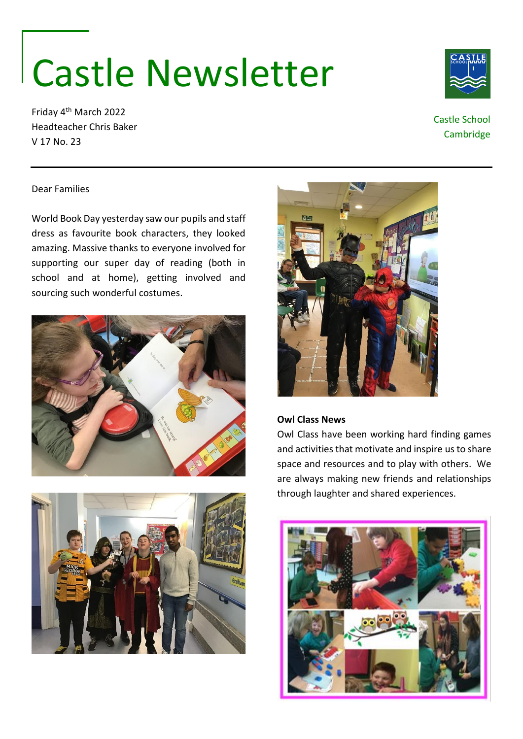# Castle Newsletter

Friday 4th March 2022 Headteacher Chris Baker V 17 No. 23



## Castle School Cambridge

### Dear Families

World Book Day yesterday saw our pupils and staff dress as favourite book characters, they looked amazing. Massive thanks to everyone involved for supporting our super day of reading (both in school and at home), getting involved and sourcing such wonderful costumes.







## **Owl Class News**

Owl Class have been working hard finding games and activities that motivate and inspire us to share space and resources and to play with others. We are always making new friends and relationships through laughter and shared experiences.